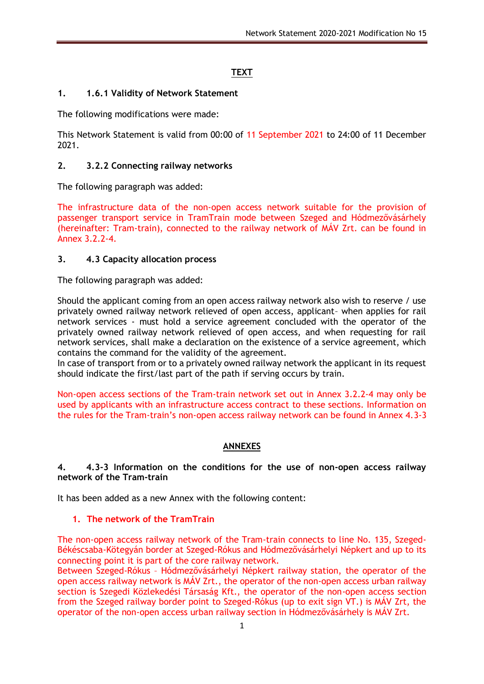# **TEXT**

### **1. 1.6.1 Validity of Network Statement**

The following modifications were made:

This Network Statement is valid from 00:00 of 11 September 2021 to 24:00 of 11 December 2021.

#### **2. 3.2.2 Connecting railway networks**

The following paragraph was added:

The infrastructure data of the non-open access network suitable for the provision of passenger transport service in TramTrain mode between Szeged and Hódmezővásárhely (hereinafter: Tram-train), connected to the railway network of MÁV Zrt. can be found in Annex 3.2.2-4.

#### **3. 4.3 Capacity allocation process**

The following paragraph was added:

Should the applicant coming from an open access railway network also wish to reserve / use privately owned railway network relieved of open access, applicant– when applies for rail network services - must hold a service agreement concluded with the operator of the privately owned railway network relieved of open access, and when requesting for rail network services, shall make a declaration on the existence of a service agreement, which contains the command for the validity of the agreement.

In case of transport from or to a privately owned railway network the applicant in its request should indicate the first/last part of the path if serving occurs by train.

Non-open access sections of the Tram-train network set out in Annex 3.2.2-4 may only be used by applicants with an infrastructure access contract to these sections. Information on the rules for the Tram-train's non-open access railway network can be found in Annex 4.3-3

### **ANNEXES**

#### **4. 4.3-3 Information on the conditions for the use of non-open access railway network of the Tram-train**

It has been added as a new Annex with the following content:

#### **1. The network of the TramTrain**

The non-open access railway network of the Tram-train connects to line No. 135, Szeged-Békéscsaba-Kötegyán border at Szeged-Rókus and Hódmezővásárhelyi Népkert and up to its connecting point it is part of the core railway network.

Between Szeged-Rókus – Hódmezővásárhelyi Népkert railway station, the operator of the open access railway network is MÁV Zrt., the operator of the non-open access urban railway section is Szegedi Közlekedési Társaság Kft., the operator of the non-open access section from the Szeged railway border point to Szeged-Rókus (up to exit sign VT.) is MÁV Zrt, the operator of the non-open access urban railway section in Hódmezővásárhely is MÁV Zrt.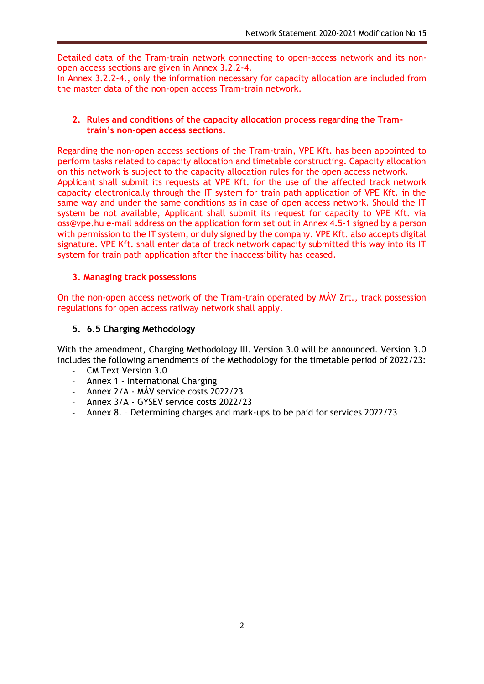Detailed data of the Tram-train network connecting to open-access network and its nonopen access sections are given in Annex 3.2.2-4.

In Annex 3.2.2-4., only the information necessary for capacity allocation are included from the master data of the non-open access Tram-train network.

### **2. Rules and conditions of the capacity allocation process regarding the Tramtrain's non-open access sections.**

Regarding the non-open access sections of the Tram-train, VPE Kft. has been appointed to perform tasks related to capacity allocation and timetable constructing. Capacity allocation on this network is subject to the capacity allocation rules for the open access network. Applicant shall submit its requests at VPE Kft. for the use of the affected track network capacity electronically through the IT system for train path application of VPE Kft. in the same way and under the same conditions as in case of open access network. Should the IT system be not available, Applicant shall submit its request for capacity to VPE Kft. via [oss@vpe.hu](mailto:oss@vpe.hu) e-mail address on the application form set out in Annex 4.5-1 signed by a person with permission to the IT system, or duly signed by the company. VPE Kft. also accepts digital signature. VPE Kft. shall enter data of track network capacity submitted this way into its IT system for train path application after the inaccessibility has ceased.

### **3. Managing track possessions**

On the non-open access network of the Tram-train operated by MÁV Zrt., track possession regulations for open access railway network shall apply.

### **5. 6.5 Charging Methodology**

With the amendment, Charging Methodology III. Version 3.0 will be announced. Version 3.0 includes the following amendments of the Methodology for the timetable period of 2022/23:

- CM Text Version 3.0
- Annex 1 International Charging
- Annex 2/A MÁV service costs 2022/23
- Annex 3/A GYSEV service costs 2022/23
- Annex 8. Determining charges and mark-ups to be paid for services 2022/23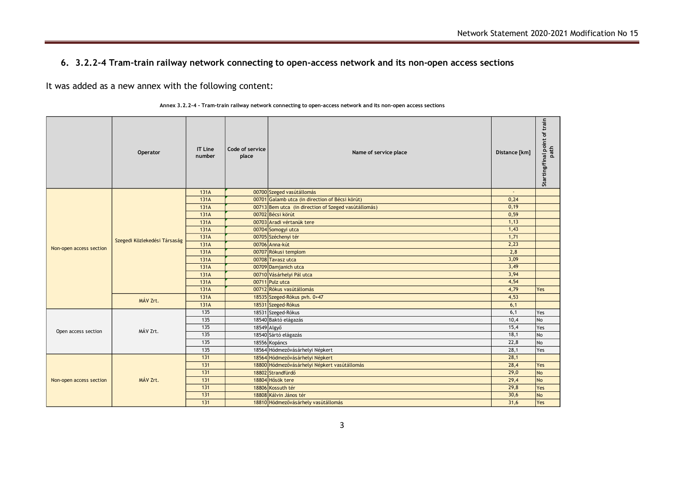## **6. 3.2.2-4 Tram-train railway network connecting to open-access network and its non-open access sections**

It was added as a new annex with the following content:

|                         | Operator                     | <b>IT Line</b><br>number | Code of service<br>place | Name of service place                                | Distance [km] | Starting/final point of train<br>path |
|-------------------------|------------------------------|--------------------------|--------------------------|------------------------------------------------------|---------------|---------------------------------------|
|                         |                              | 131A                     |                          | 00700 Szeged vasútállomás                            |               |                                       |
|                         |                              | 131A                     |                          | 00701 Galamb utca (in direction of Bécsi körút)      | 0,24          |                                       |
|                         |                              | 131A                     |                          | 00713 Bem utca (in direction of Szeged vasútállomás) | 0,19          |                                       |
|                         |                              | 131A                     |                          | 00702 Bécsi körút                                    | 0,59          |                                       |
| Non-open access section |                              | 131A                     |                          | 00703 Aradi vértanúk tere                            | 1,13          |                                       |
|                         |                              | 131A                     |                          | 00704 Somogyi utca                                   | 1,43          |                                       |
|                         | Szegedi Közlekedési Társaság | 131A                     |                          | 00705 Széchenyi tér                                  | 1,71          |                                       |
|                         |                              | 131A                     |                          | 00706 Anna-kút                                       | 2,23          |                                       |
|                         |                              | 131A                     |                          | 00707 Rókusi templom                                 | 2,8           |                                       |
|                         |                              | 131A                     |                          | 00708 Tavasz utca                                    | 3,09          |                                       |
|                         |                              | 131A                     |                          | 00709 Damjanich utca                                 | 3,49          |                                       |
|                         |                              | 131A                     |                          | 00710 Vásárhelyi Pál utca                            | 3,94          |                                       |
|                         |                              | 131A                     |                          | 00711 Pulz utca                                      | 4,54          |                                       |
|                         |                              | 131A                     |                          | 00712 Rókus vasútállomás                             | 4,79          | Yes                                   |
|                         | MÁV Zrt.                     | 131A                     |                          | 18535 Szeged-Rókus pvh. 0+47                         | 4,53          |                                       |
|                         |                              | 131A                     |                          | 18531 Szeged-Rókus                                   | 6,1           |                                       |
|                         |                              | 135                      |                          | 18531 Szeged-Rókus                                   | 6,1           | Yes                                   |
|                         |                              | 135                      |                          | 18540 Baktó elágazás                                 | 10,4          | No                                    |
| Open access section     | MÁV Zrt.                     | 135                      |                          | 18549 Algyő                                          | 15,4          | Yes                                   |
|                         |                              | 135                      |                          | 18540 Sártó elágazás                                 | 18,1          | No                                    |
|                         |                              | 135                      |                          | 18556 Kopáncs                                        | 22,8          | No                                    |
|                         |                              | 135                      |                          | 18564 Hódmezővásárhelyi Népkert                      | 28,1          | Yes                                   |
|                         |                              | 131                      |                          | 18564 Hódmezővásárhelyi Népkert                      | 28,1          |                                       |
|                         |                              | 131                      |                          | 18800 Hódmezővásárhelyi Népkert vasútállomás         | 28,4          | Yes                                   |
|                         |                              | 131                      |                          | 18802 Strandfürdő                                    | 29,0          | <b>No</b>                             |
| Non-open access section | MÁV Zrt.                     | 131                      |                          | 18804 Hősök tere                                     | 29,4          | <b>No</b>                             |
|                         |                              | 131                      |                          | 18806 Kossuth tér                                    | 29.8          | Yes                                   |

|  |  |  |  | Annex 3.2.2-4 - Tram-train railway network connecting to open-access network and its non-open access sections |  |
|--|--|--|--|---------------------------------------------------------------------------------------------------------------|--|
|--|--|--|--|---------------------------------------------------------------------------------------------------------------|--|

131 131 18808 Kálvin János tér 18808 Kálvin János tér 18808 Kálvin János tér 18808 Kálvin János tér 18808 Kálvin János tér 18808 Kálvin János tér 18808 Kálvin János tér 18808 Kálvin János tér 18808 Kálvin János tér 18808 K 131 18810 Hódmezővásárhely vasútállomás 31,6 Yes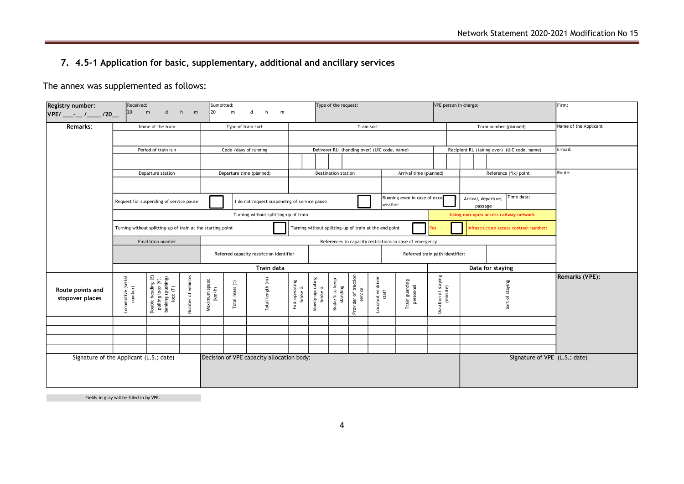# **7. 4.5-1 Application for basic, supplementary, additional and ancillary services**

The annex was supplemented as follows:

| Received:<br>Registry number:<br>h      |                                                                                                           |                                                             |                    |                                           | Sumbitted:                                                                                                                              |                                          |                           |                                                               | Type of the request:        |                                 |                            |                                              |                                 |                                 | VPE person in charge: |  |                                             | Firm:                 |  |  |  |  |
|-----------------------------------------|-----------------------------------------------------------------------------------------------------------|-------------------------------------------------------------|--------------------|-------------------------------------------|-----------------------------------------------------------------------------------------------------------------------------------------|------------------------------------------|---------------------------|---------------------------------------------------------------|-----------------------------|---------------------------------|----------------------------|----------------------------------------------|---------------------------------|---------------------------------|-----------------------|--|---------------------------------------------|-----------------------|--|--|--|--|
| VPE/___-__/____/20__                    | 20                                                                                                        | $\mathsf{d}$<br>m                                           | m                  | 20                                        | m                                                                                                                                       | d<br>h<br>m                              |                           |                                                               |                             |                                 |                            |                                              |                                 |                                 |                       |  |                                             |                       |  |  |  |  |
| <b>Remarks:</b>                         |                                                                                                           | Name of the train                                           |                    |                                           | Type of train sort                                                                                                                      |                                          |                           |                                                               |                             |                                 | Train sort                 |                                              |                                 |                                 |                       |  | Train number (planned)                      | Name of the Applicant |  |  |  |  |
|                                         |                                                                                                           |                                                             |                    |                                           |                                                                                                                                         |                                          |                           |                                                               |                             |                                 |                            |                                              |                                 |                                 |                       |  |                                             |                       |  |  |  |  |
|                                         |                                                                                                           | Period of train run                                         |                    |                                           |                                                                                                                                         | Code / days of running                   |                           |                                                               |                             |                                 |                            | Deliverer RU (handing over) (UIC code, name) |                                 |                                 |                       |  | Recipient RU (taking over) (UIC code, name) | E-mail:               |  |  |  |  |
|                                         |                                                                                                           |                                                             |                    |                                           |                                                                                                                                         |                                          |                           |                                                               |                             |                                 |                            |                                              |                                 |                                 |                       |  |                                             |                       |  |  |  |  |
|                                         |                                                                                                           | Departure station                                           |                    |                                           |                                                                                                                                         | Departure time (planned)                 |                           |                                                               | Destination station         |                                 |                            |                                              | Arrival time (planned)          |                                 |                       |  | Reference (fix) point                       | Route:                |  |  |  |  |
|                                         |                                                                                                           |                                                             |                    |                                           |                                                                                                                                         |                                          |                           |                                                               |                             |                                 |                            |                                              |                                 |                                 |                       |  |                                             |                       |  |  |  |  |
|                                         |                                                                                                           | Request for suspending of service pause                     |                    |                                           | Time data:<br>Running even in case of exce<br>Arrival, departure,<br>I do not request suspending of service pause<br>weather<br>passage |                                          |                           |                                                               |                             |                                 |                            |                                              |                                 |                                 |                       |  |                                             |                       |  |  |  |  |
|                                         | Turning without splitting-up of train                                                                     |                                                             |                    |                                           |                                                                                                                                         |                                          |                           |                                                               |                             |                                 |                            |                                              |                                 |                                 |                       |  | Using non-open access railway network       |                       |  |  |  |  |
|                                         |                                                                                                           | Turning without splitting-up of train at the starting point |                    |                                           |                                                                                                                                         |                                          |                           | Turning without splitting-up of train at the end point<br>Yes |                             |                                 |                            |                                              |                                 |                                 |                       |  | Infrastructure access contract number:      |                       |  |  |  |  |
|                                         |                                                                                                           | Final train number                                          |                    |                                           | References to capacity restrictions in case of emergency                                                                                |                                          |                           |                                                               |                             |                                 |                            |                                              |                                 |                                 |                       |  |                                             |                       |  |  |  |  |
|                                         |                                                                                                           |                                                             |                    |                                           |                                                                                                                                         | Referred capacity restriction identifier |                           |                                                               |                             |                                 |                            |                                              | Referred train path identifier: |                                 |                       |  |                                             |                       |  |  |  |  |
|                                         |                                                                                                           |                                                             |                    |                                           |                                                                                                                                         | <b>Train data</b>                        |                           |                                                               |                             |                                 |                            |                                              |                                 |                                 |                       |  | Data for staying                            |                       |  |  |  |  |
| Route points and<br>stopover places     | Double heading (E)<br>pulling loco (V),<br>banking (pushing)<br>loco (T)<br>Locomotive (serial<br>number) |                                                             | Number of vehicles | Maximum speed<br>(km/h)                   | Total mass (t)                                                                                                                          | Total length (m)                         | Fast operating<br>brake % | Slowly operating<br>brake %                                   | Brake % to keep<br>standing | Provider of traction<br>service | Locomotive driver<br>staff | Train guarding<br>personnel                  |                                 | Duration of staying<br>(minute) |                       |  | Sort of staying                             | <b>Remarks (VPE):</b> |  |  |  |  |
|                                         |                                                                                                           |                                                             |                    |                                           |                                                                                                                                         |                                          |                           |                                                               |                             |                                 |                            |                                              |                                 |                                 |                       |  |                                             |                       |  |  |  |  |
|                                         |                                                                                                           |                                                             |                    |                                           |                                                                                                                                         |                                          |                           |                                                               |                             |                                 |                            |                                              |                                 |                                 |                       |  |                                             |                       |  |  |  |  |
|                                         |                                                                                                           |                                                             |                    |                                           |                                                                                                                                         |                                          |                           |                                                               |                             |                                 |                            |                                              |                                 |                                 |                       |  |                                             |                       |  |  |  |  |
| Signature of the Applicant (L.S.; date) |                                                                                                           |                                                             |                    | Decision of VPE capacity allocation body: |                                                                                                                                         |                                          |                           |                                                               |                             |                                 |                            |                                              |                                 |                                 |                       |  | Signature of VPE (L.S.; date)               |                       |  |  |  |  |
|                                         |                                                                                                           |                                                             |                    |                                           |                                                                                                                                         |                                          |                           |                                                               |                             |                                 |                            |                                              |                                 |                                 |                       |  |                                             |                       |  |  |  |  |

Fields in gray will be filled in by VPE.